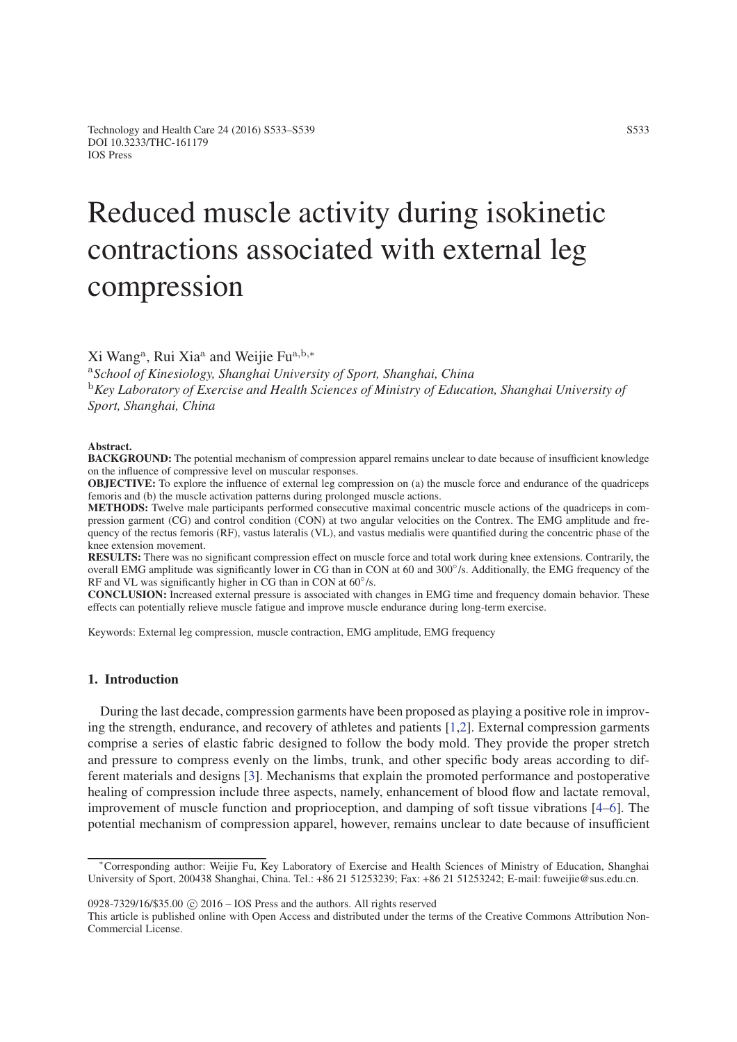# Reduced muscle activity during isokinetic contractions associated with external leg compression

Xi Wang<sup>a</sup>, Rui Xia<sup>a</sup> and Weijie Fu<sup>a</sup>*,*b*,*<sup>∗</sup>

<sup>a</sup>*School of Kinesiology, Shanghai University of Sport, Shanghai, China* <sup>b</sup>*Key Laboratory of Exercise and Health Sciences of Ministry of Education, Shanghai University of Sport, Shanghai, China*

#### Abstract.

BACKGROUND: The potential mechanism of compression apparel remains unclear to date because of insufficient knowledge on the influence of compressive level on muscular responses.

OBJECTIVE: To explore the influence of external leg compression on (a) the muscle force and endurance of the quadriceps femoris and (b) the muscle activation patterns during prolonged muscle actions.

METHODS: Twelve male participants performed consecutive maximal concentric muscle actions of the quadriceps in compression garment (CG) and control condition (CON) at two angular velocities on the Contrex. The EMG amplitude and frequency of the rectus femoris (RF), vastus lateralis (VL), and vastus medialis were quantified during the concentric phase of the knee extension movement.

RESULTS: There was no significant compression effect on muscle force and total work during knee extensions. Contrarily, the overall EMG amplitude was significantly lower in CG than in CON at 60 and 300°/s. Additionally, the EMG frequency of the RF and VL was significantly higher in CG than in CON at  $60^{\circ}/s$ .

CONCLUSION: Increased external pressure is associated with changes in EMG time and frequency domain behavior. These effects can potentially relieve muscle fatigue and improve muscle endurance during long-term exercise.

Keywords: External leg compression, muscle contraction, EMG amplitude, EMG frequency

## 1. Introduction

During the last decade, compression garments have been proposed as playing a positive role in improving the strength, endurance, and recovery of athletes and patients [\[1,](#page-6-0)[2\]](#page-6-1). External compression garments comprise a series of elastic fabric designed to follow the body mold. They provide the proper stretch and pressure to compress evenly on the limbs, trunk, and other specific body areas according to different materials and designs [\[3\]](#page-6-2). Mechanisms that explain the promoted performance and postoperative healing of compression include three aspects, namely, enhancement of blood flow and lactate removal, improvement of muscle function and proprioception, and damping of soft tissue vibrations [\[4–](#page-6-3)[6\]](#page-6-4). The potential mechanism of compression apparel, however, remains unclear to date because of insufficient

 $0928-7329/16/$ \$35.00  $\odot$  2016 – IOS Press and the authors. All rights reserved

This article is published online with Open Access and distributed under the terms of the Creative Commons Attribution Non-Commercial License.

<sup>∗</sup>Corresponding author: Weijie Fu, Key Laboratory of Exercise and Health Sciences of Ministry of Education, Shanghai University of Sport, 200438 Shanghai, China. Tel.: +86 21 51253239; Fax: +86 21 51253242; E-mail: fuweijie@sus.edu.cn.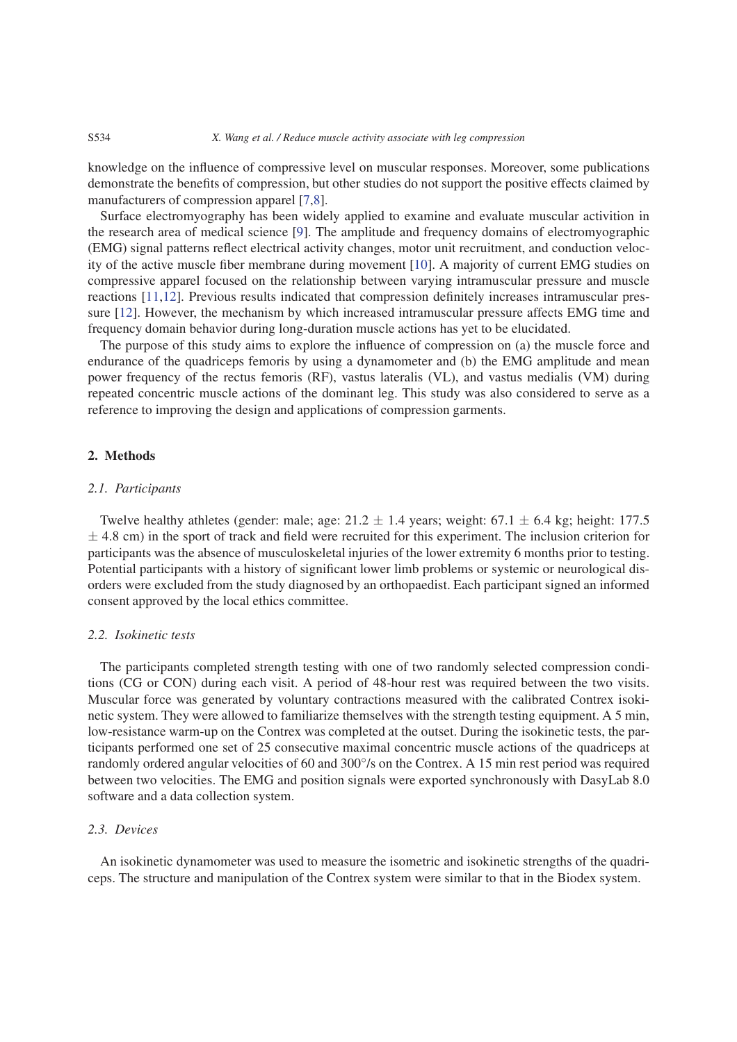knowledge on the influence of compressive level on muscular responses. Moreover, some publications demonstrate the benefits of compression, but other studies do not support the positive effects claimed by manufacturers of compression apparel [\[7](#page-6-5)[,8\]](#page-6-6).

Surface electromyography has been widely applied to examine and evaluate muscular activition in the research area of medical science [\[9\]](#page-6-7). The amplitude and frequency domains of electromyographic (EMG) signal patterns reflect electrical activity changes, motor unit recruitment, and conduction velocity of the active muscle fiber membrane during movement [\[10\]](#page-6-8). A majority of current EMG studies on compressive apparel focused on the relationship between varying intramuscular pressure and muscle reactions [\[11,](#page-6-9)[12\]](#page-6-10). Previous results indicated that compression definitely increases intramuscular pressure [\[12\]](#page-6-10). However, the mechanism by which increased intramuscular pressure affects EMG time and frequency domain behavior during long-duration muscle actions has yet to be elucidated.

The purpose of this study aims to explore the influence of compression on (a) the muscle force and endurance of the quadriceps femoris by using a dynamometer and (b) the EMG amplitude and mean power frequency of the rectus femoris (RF), vastus lateralis (VL), and vastus medialis (VM) during repeated concentric muscle actions of the dominant leg. This study was also considered to serve as a reference to improving the design and applications of compression garments.

# 2. Methods

## *2.1. Participants*

Twelve healthy athletes (gender: male; age:  $21.2 \pm 1.4$  years; weight:  $67.1 \pm 6.4$  kg; height: 177.5 *±* 4.8 cm) in the sport of track and field were recruited for this experiment. The inclusion criterion for participants was the absence of musculoskeletal injuries of the lower extremity 6 months prior to testing. Potential participants with a history of significant lower limb problems or systemic or neurological disorders were excluded from the study diagnosed by an orthopaedist. Each participant signed an informed consent approved by the local ethics committee.

### *2.2. Isokinetic tests*

The participants completed strength testing with one of two randomly selected compression conditions (CG or CON) during each visit. A period of 48-hour rest was required between the two visits. Muscular force was generated by voluntary contractions measured with the calibrated Contrex isokinetic system. They were allowed to familiarize themselves with the strength testing equipment. A 5 min, low-resistance warm-up on the Contrex was completed at the outset. During the isokinetic tests, the participants performed one set of 25 consecutive maximal concentric muscle actions of the quadriceps at randomly ordered angular velocities of 60 and 300◦/s on the Contrex. A 15 min rest period was required between two velocities. The EMG and position signals were exported synchronously with DasyLab 8.0 software and a data collection system.

#### *2.3. Devices*

An isokinetic dynamometer was used to measure the isometric and isokinetic strengths of the quadriceps. The structure and manipulation of the Contrex system were similar to that in the Biodex system.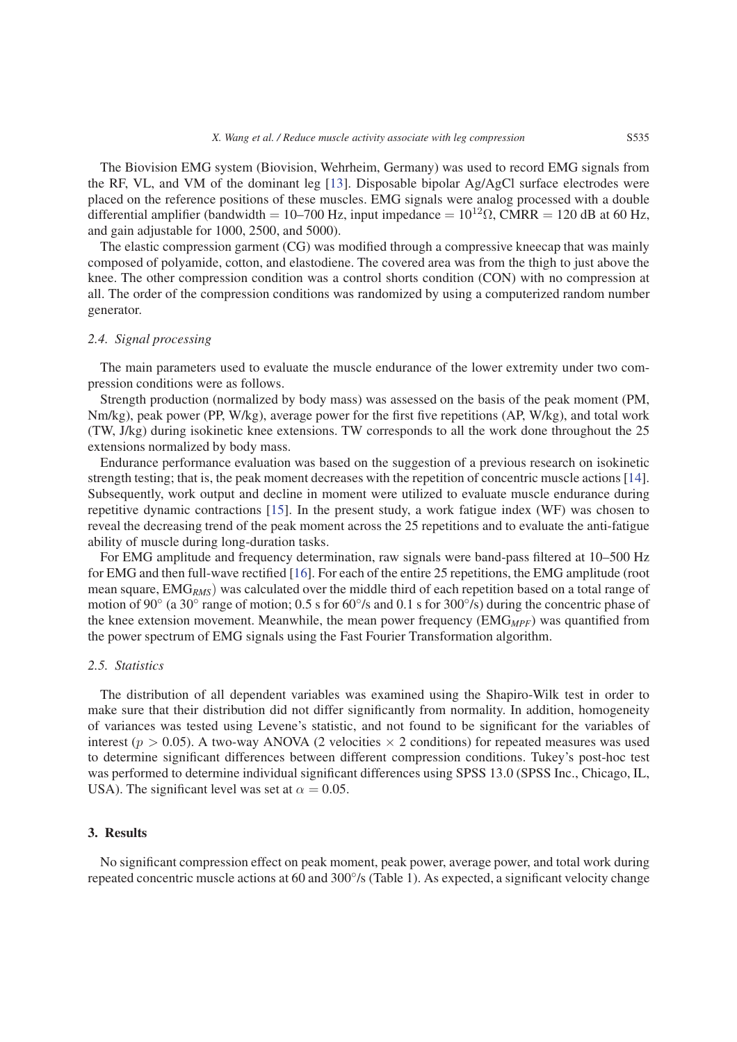The Biovision EMG system (Biovision, Wehrheim, Germany) was used to record EMG signals from the RF, VL, and VM of the dominant leg [\[13\]](#page-6-11). Disposable bipolar Ag/AgCl surface electrodes were placed on the reference positions of these muscles. EMG signals were analog processed with a double differential amplifier (bandwidth = 10–700 Hz, input impedance =  $10^{12}$  $\Omega$ , CMRR = 120 dB at 60 Hz, and gain adjustable for 1000, 2500, and 5000).

The elastic compression garment (CG) was modified through a compressive kneecap that was mainly composed of polyamide, cotton, and elastodiene. The covered area was from the thigh to just above the knee. The other compression condition was a control shorts condition (CON) with no compression at all. The order of the compression conditions was randomized by using a computerized random number generator.

#### *2.4. Signal processing*

The main parameters used to evaluate the muscle endurance of the lower extremity under two compression conditions were as follows.

Strength production (normalized by body mass) was assessed on the basis of the peak moment (PM, Nm/kg), peak power (PP, W/kg), average power for the first five repetitions (AP, W/kg), and total work (TW, J/kg) during isokinetic knee extensions. TW corresponds to all the work done throughout the 25 extensions normalized by body mass.

Endurance performance evaluation was based on the suggestion of a previous research on isokinetic strength testing; that is, the peak moment decreases with the repetition of concentric muscle actions [\[14\]](#page-6-12). Subsequently, work output and decline in moment were utilized to evaluate muscle endurance during repetitive dynamic contractions [\[15\]](#page-6-13). In the present study, a work fatigue index (WF) was chosen to reveal the decreasing trend of the peak moment across the 25 repetitions and to evaluate the anti-fatigue ability of muscle during long-duration tasks.

For EMG amplitude and frequency determination, raw signals were band-pass filtered at 10–500 Hz for EMG and then full-wave rectified [\[16\]](#page-6-14). For each of the entire 25 repetitions, the EMG amplitude (root mean square, EMG*RMS*) was calculated over the middle third of each repetition based on a total range of motion of 90◦ (a 30◦ range of motion; 0.5 s for 60◦/s and 0.1 s for 300◦/s) during the concentric phase of the knee extension movement. Meanwhile, the mean power frequency (EMG<sub>MPF</sub>) was quantified from the power spectrum of EMG signals using the Fast Fourier Transformation algorithm.

#### *2.5. Statistics*

The distribution of all dependent variables was examined using the Shapiro-Wilk test in order to make sure that their distribution did not differ significantly from normality. In addition, homogeneity of variances was tested using Levene's statistic, and not found to be significant for the variables of interest ( $p > 0.05$ ). A two-way ANOVA (2 velocities  $\times$  2 conditions) for repeated measures was used to determine significant differences between different compression conditions. Tukey's post-hoc test was performed to determine individual significant differences using SPSS 13.0 (SPSS Inc., Chicago, IL, USA). The significant level was set at  $\alpha = 0.05$ .

## 3. Results

No significant compression effect on peak moment, peak power, average power, and total work during repeated concentric muscle actions at 60 and 300◦/s (Table 1). As expected, a significant velocity change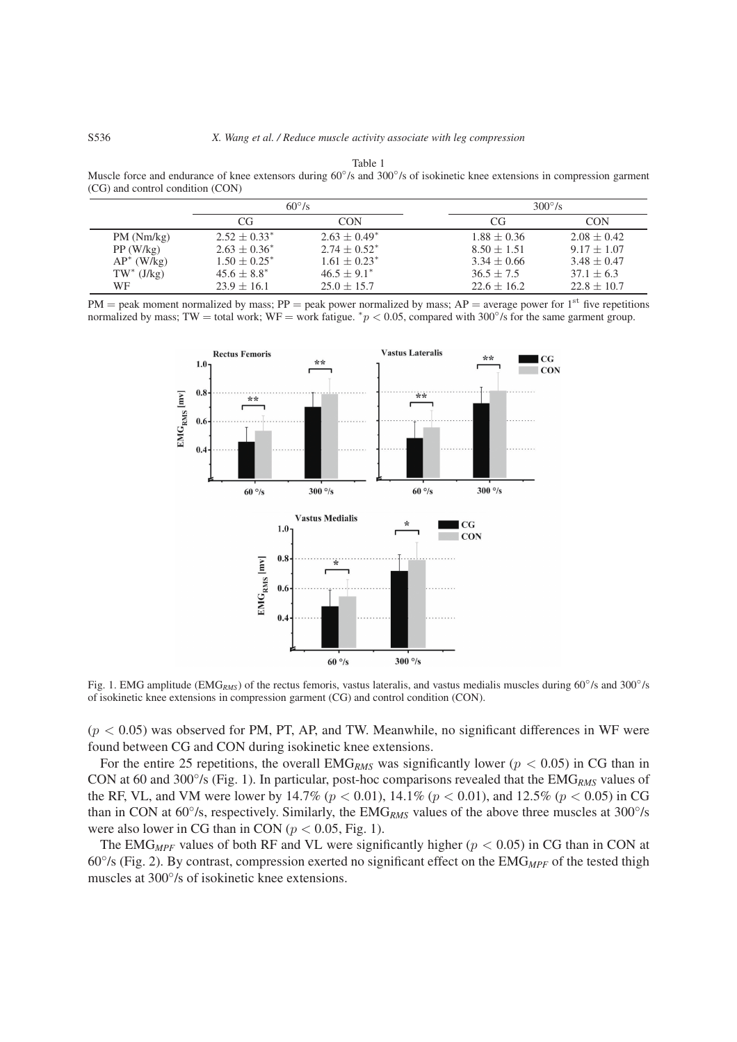Table 1 Muscle force and endurance of knee extensors during 60°/s and 300°/s of isokinetic knee extensions in compression garment (CG) and control condition (CON)

|               | $60^{\circ}/s$   |                   | $300^{\circ}/s$ |                 |
|---------------|------------------|-------------------|-----------------|-----------------|
|               | CG               | CON               | CG              | CON             |
| PM(Nm/kg)     | $2.52 + 0.33^*$  | $2.63 + 0.49^*$   | $1.88 \pm 0.36$ | $2.08 + 0.42$   |
| PP(W/kg)      | $2.63 + 0.36^*$  | $2.74 \pm 0.52^*$ | $8.50 + 1.51$   | $9.17 \pm 1.07$ |
| $AP^*$ (W/kg) | $1.50 + 0.25^*$  | $1.61 + 0.23^*$   | $3.34 \pm 0.66$ | $3.48 + 0.47$   |
| $TW^*$ (J/kg) | $45.6 \pm 8.8^*$ | $46.5 \pm 9.1^*$  | $36.5 + 7.5$    | $37.1 + 6.3$    |
| <b>WF</b>     | $23.9 + 16.1$    | $25.0 + 15.7$     | $22.6 + 16.2$   | $22.8 + 10.7$   |

 $PM =$  peak moment normalized by mass;  $PP =$  peak power normalized by mass;  $AP =$  average power for 1<sup>st</sup> five repetitions normalized by mass; TW = total work; WF = work fatigue. <sup>∗</sup>*p <* 0.05, compared with 300◦/s for the same garment group.



Fig. 1. EMG amplitude (EMG*RMS*) of the rectus femoris, vastus lateralis, and vastus medialis muscles during 60◦/s and 300◦/s of isokinetic knee extensions in compression garment (CG) and control condition (CON).

 $(p < 0.05)$  was observed for PM, PT, AP, and TW. Meanwhile, no significant differences in WF were found between CG and CON during isokinetic knee extensions.

For the entire 25 repetitions, the overall EMG<sub>RMS</sub> was significantly lower ( $p < 0.05$ ) in CG than in CON at 60 and 300◦/s (Fig. 1). In particular, post-hoc comparisons revealed that the EMG*RMS* values of the RF, VL, and VM were lower by 14.7% ( $p < 0.01$ ), 14.1% ( $p < 0.01$ ), and 12.5% ( $p < 0.05$ ) in CG than in CON at 60◦/s, respectively. Similarly, the EMG*RMS* values of the above three muscles at 300◦/s were also lower in CG than in CON ( $p < 0.05$ , Fig. 1).

The EMG<sub>MPF</sub> values of both RF and VL were significantly higher ( $p < 0.05$ ) in CG than in CON at 60◦/s (Fig. 2). By contrast, compression exerted no significant effect on the EMG*MPF* of the tested thigh muscles at 300◦/s of isokinetic knee extensions.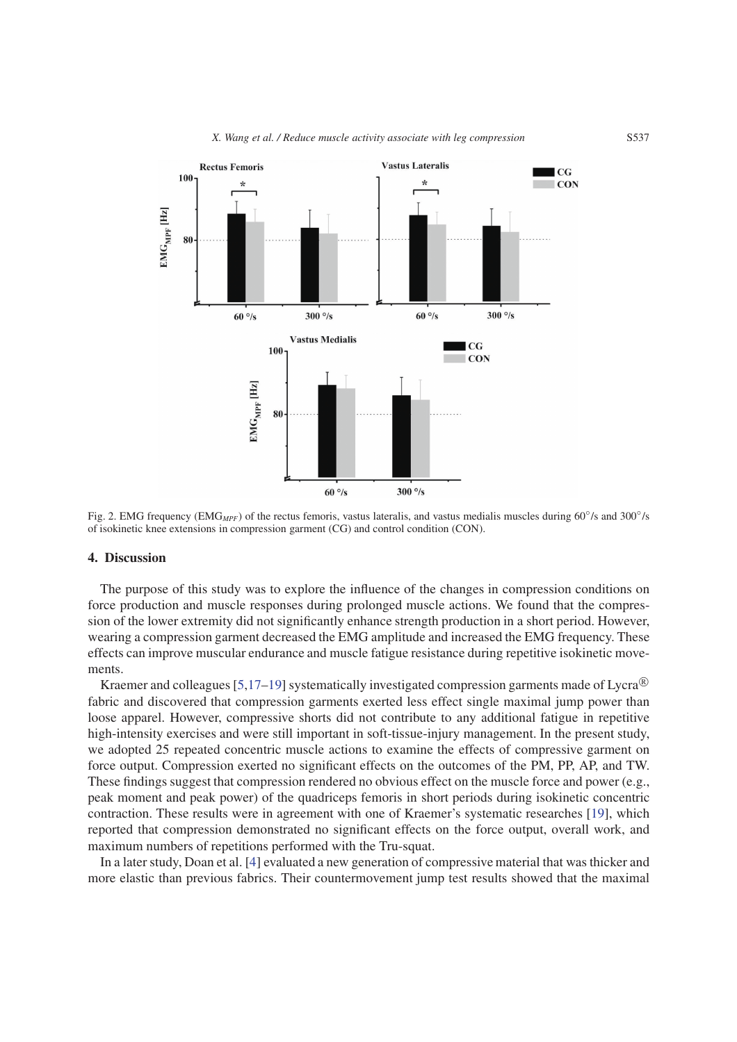

Fig. 2. EMG frequency (EMG<sub>MPF</sub>) of the rectus femoris, vastus lateralis, and vastus medialis muscles during 60<sup>°</sup>/s and 300<sup>°</sup>/s of isokinetic knee extensions in compression garment (CG) and control condition (CON).

#### 4. Discussion

The purpose of this study was to explore the influence of the changes in compression conditions on force production and muscle responses during prolonged muscle actions. We found that the compression of the lower extremity did not significantly enhance strength production in a short period. However, wearing a compression garment decreased the EMG amplitude and increased the EMG frequency. These effects can improve muscular endurance and muscle fatigue resistance during repetitive isokinetic movements.

Kraemer and colleagues [\[5](#page-6-15)[,17](#page-6-16)[–19\]](#page-6-17) systematically investigated compression garments made of Lycra<sup>®</sup> fabric and discovered that compression garments exerted less effect single maximal jump power than loose apparel. However, compressive shorts did not contribute to any additional fatigue in repetitive high-intensity exercises and were still important in soft-tissue-injury management. In the present study, we adopted 25 repeated concentric muscle actions to examine the effects of compressive garment on force output. Compression exerted no significant effects on the outcomes of the PM, PP, AP, and TW. These findings suggest that compression rendered no obvious effect on the muscle force and power (e.g., peak moment and peak power) of the quadriceps femoris in short periods during isokinetic concentric contraction. These results were in agreement with one of Kraemer's systematic researches [\[19\]](#page-6-17), which reported that compression demonstrated no significant effects on the force output, overall work, and maximum numbers of repetitions performed with the Tru-squat.

In a later study, Doan et al. [\[4\]](#page-6-3) evaluated a new generation of compressive material that was thicker and more elastic than previous fabrics. Their countermovement jump test results showed that the maximal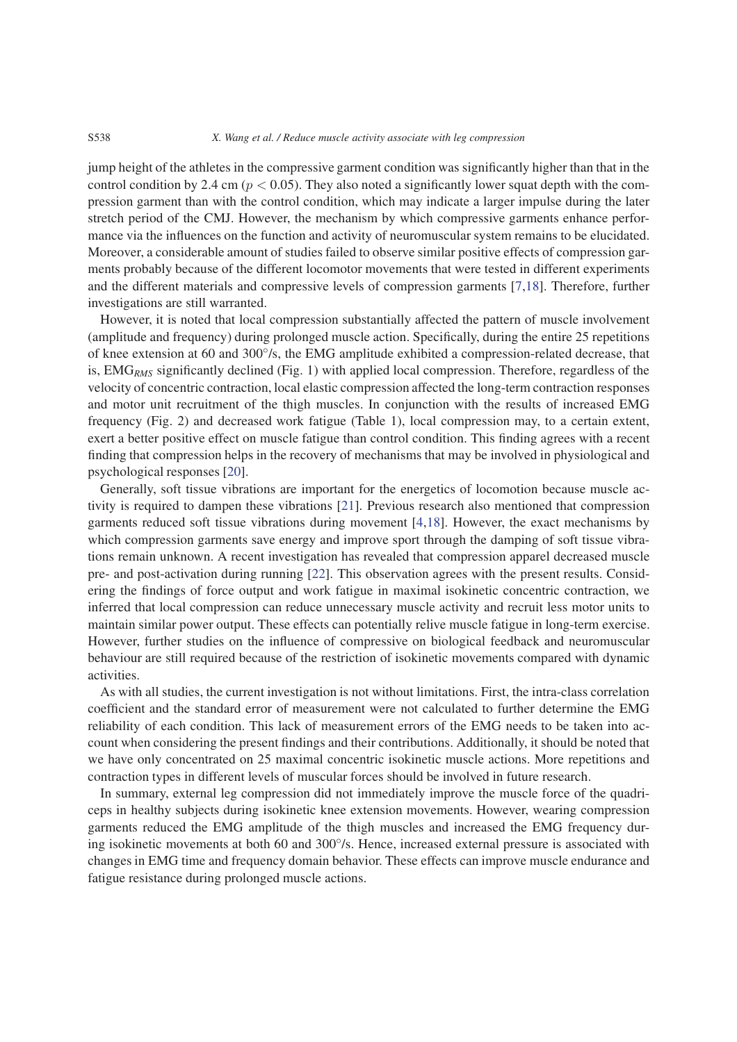jump height of the athletes in the compressive garment condition was significantly higher than that in the control condition by 2.4 cm ( $p < 0.05$ ). They also noted a significantly lower squat depth with the compression garment than with the control condition, which may indicate a larger impulse during the later stretch period of the CMJ. However, the mechanism by which compressive garments enhance performance via the influences on the function and activity of neuromuscular system remains to be elucidated. Moreover, a considerable amount of studies failed to observe similar positive effects of compression garments probably because of the different locomotor movements that were tested in different experiments and the different materials and compressive levels of compression garments [\[7,](#page-6-5)[18\]](#page-6-18). Therefore, further investigations are still warranted.

However, it is noted that local compression substantially affected the pattern of muscle involvement (amplitude and frequency) during prolonged muscle action. Specifically, during the entire 25 repetitions of knee extension at 60 and 300◦/s, the EMG amplitude exhibited a compression-related decrease, that is, EMG*RMS* significantly declined (Fig. 1) with applied local compression. Therefore, regardless of the velocity of concentric contraction, local elastic compression affected the long-term contraction responses and motor unit recruitment of the thigh muscles. In conjunction with the results of increased EMG frequency (Fig. 2) and decreased work fatigue (Table 1), local compression may, to a certain extent, exert a better positive effect on muscle fatigue than control condition. This finding agrees with a recent finding that compression helps in the recovery of mechanisms that may be involved in physiological and psychological responses [\[20\]](#page-6-19).

Generally, soft tissue vibrations are important for the energetics of locomotion because muscle activity is required to dampen these vibrations [\[21\]](#page-6-20). Previous research also mentioned that compression garments reduced soft tissue vibrations during movement [\[4,](#page-6-3)[18\]](#page-6-18). However, the exact mechanisms by which compression garments save energy and improve sport through the damping of soft tissue vibrations remain unknown. A recent investigation has revealed that compression apparel decreased muscle pre- and post-activation during running [\[22\]](#page-6-21). This observation agrees with the present results. Considering the findings of force output and work fatigue in maximal isokinetic concentric contraction, we inferred that local compression can reduce unnecessary muscle activity and recruit less motor units to maintain similar power output. These effects can potentially relive muscle fatigue in long-term exercise. However, further studies on the influence of compressive on biological feedback and neuromuscular behaviour are still required because of the restriction of isokinetic movements compared with dynamic activities.

As with all studies, the current investigation is not without limitations. First, the intra-class correlation coefficient and the standard error of measurement were not calculated to further determine the EMG reliability of each condition. This lack of measurement errors of the EMG needs to be taken into account when considering the present findings and their contributions. Additionally, it should be noted that we have only concentrated on 25 maximal concentric isokinetic muscle actions. More repetitions and contraction types in different levels of muscular forces should be involved in future research.

In summary, external leg compression did not immediately improve the muscle force of the quadriceps in healthy subjects during isokinetic knee extension movements. However, wearing compression garments reduced the EMG amplitude of the thigh muscles and increased the EMG frequency during isokinetic movements at both 60 and 300<sup>°</sup>/s. Hence, increased external pressure is associated with changes in EMG time and frequency domain behavior. These effects can improve muscle endurance and fatigue resistance during prolonged muscle actions.